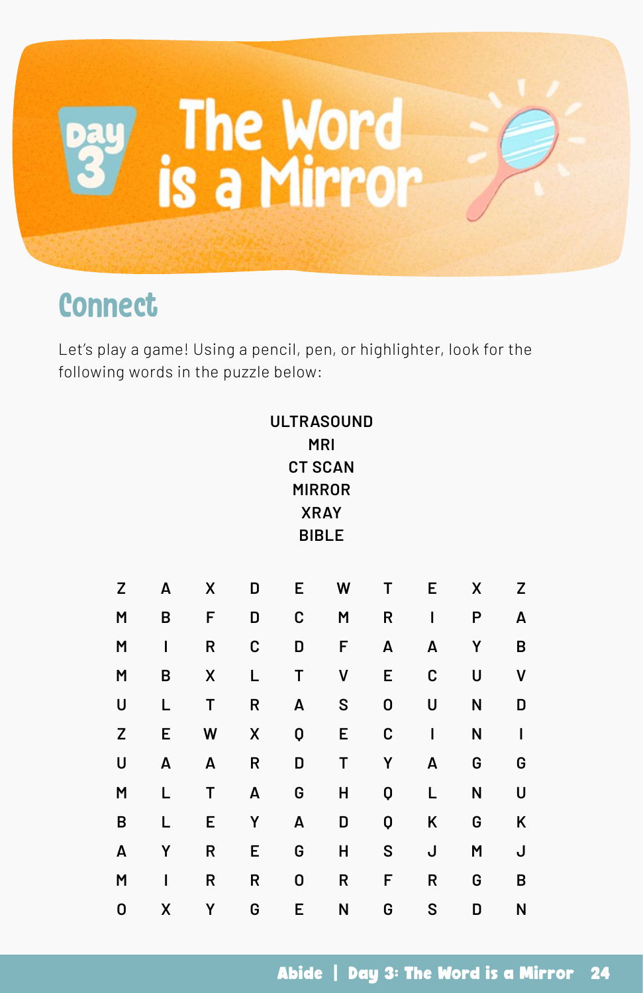

## **Connect**

Let's play a game! Using a pencil, pen, or highlighter, look for the following words in the puzzle below:

|   |   |   |   |   | <b>ULTRASOUND</b> |   |             |   |   |
|---|---|---|---|---|-------------------|---|-------------|---|---|
|   |   |   |   |   | <b>MRI</b>        |   |             |   |   |
|   |   |   |   |   | <b>CT SCAN</b>    |   |             |   |   |
|   |   |   |   |   | <b>MIRROR</b>     |   |             |   |   |
|   |   |   |   |   | <b>XRAY</b>       |   |             |   |   |
|   |   |   |   |   | <b>BIBLE</b>      |   |             |   |   |
|   |   |   |   |   |                   |   |             |   |   |
| Z | A | χ | D | E | W                 | T | E           | Χ | Z |
| M | B | F | D | C | M                 | R | $\mathbf I$ | P | A |
| M | I | R | C | D | F                 | A | A           | Υ | B |
| M | B | X | L | T | ٧                 | E | C           | U | ٧ |
| U | L | Τ | R | A | S                 | 0 | U           | N | D |
| Z | E | W | Χ | Q | E                 | C | I           | N | I |
| U | A | A | R | D | T                 | Y | A           | G | G |
| M | Г | T | A | G | Н                 | Q | Г           | N | U |
| B | L | E | Υ | A | D                 | Q | Κ           | G | Κ |
| A | Υ | R | Е | G | Н                 | S | J           | M | J |
| M | I | R | R | 0 | R                 | F | R           | G | B |
| 0 | Χ | Υ | G | Е | N                 | G | S           | D | N |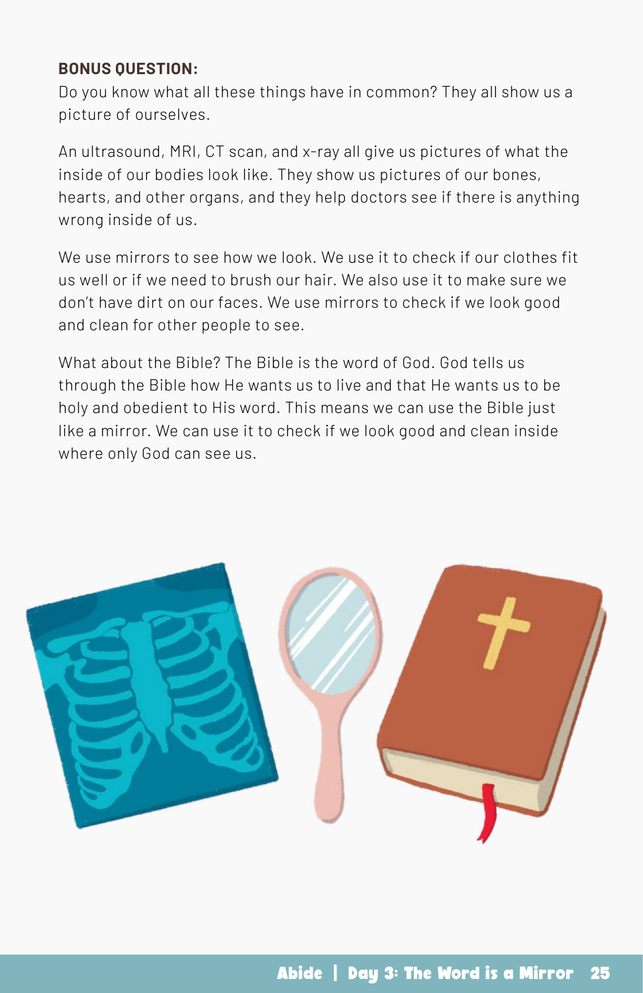### **BONUS QUESTION:**

Do you know what all these things have in common? They all show us a picture of ourselves.

An ultrasound, MRI, CT scan, and x-ray all give us pictures of what the inside of our bodies look like. They show us pictures of our bones, hearts, and other organs, and they help doctors see if there is anything wrong inside of us.

We use mirrors to see how we look. We use it to check if our clothes fit us well or if we need to brush our hair. We also use it to make sure we don't have dirt on our faces. We use mirrors to check if we look good and clean for other people to see.

What about the Bible? The Bible is the word of God. God tells us through the Bible how He wants us to live and that He wants us to be holy and obedient to His word. This means we can use the Bible just like a mirror. We can use it to check if we look good and clean inside where only God can see us.

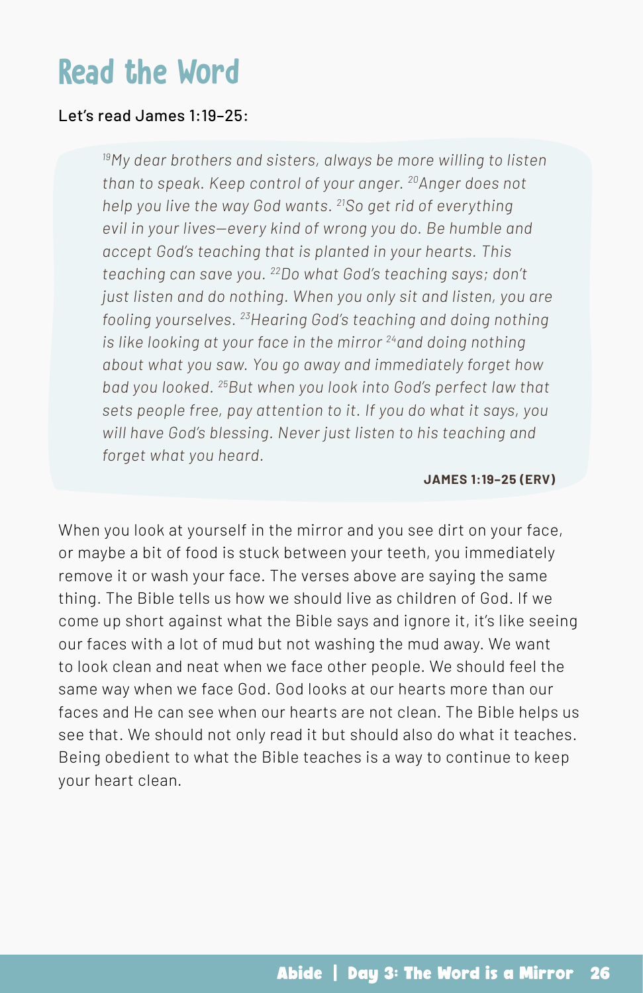## Read the Word

### Let's read James 1:19–25:

*19My dear brothers and sisters, always be more willing to listen than to speak. Keep control of your anger. 20Anger does not help you live the way God wants. 21So get rid of everything evil in your lives—every kind of wrong you do. Be humble and accept God's teaching that is planted in your hearts. This teaching can save you. 22Do what God's teaching says; don't just listen and do nothing. When you only sit and listen, you are fooling yourselves. 23Hearing God's teaching and doing nothing is like looking at your face in the mirror 24and doing nothing about what you saw. You go away and immediately forget how bad you looked. 25But when you look into God's perfect law that sets people free, pay attention to it. If you do what it says, you will have God's blessing. Never just listen to his teaching and forget what you heard.*

#### **JAMES 1:19–25 (ERV)**

When you look at yourself in the mirror and you see dirt on your face, or maybe a bit of food is stuck between your teeth, you immediately remove it or wash your face. The verses above are saying the same thing. The Bible tells us how we should live as children of God. If we come up short against what the Bible says and ignore it, it's like seeing our faces with a lot of mud but not washing the mud away. We want to look clean and neat when we face other people. We should feel the same way when we face God. God looks at our hearts more than our faces and He can see when our hearts are not clean. The Bible helps us see that. We should not only read it but should also do what it teaches. Being obedient to what the Bible teaches is a way to continue to keep your heart clean.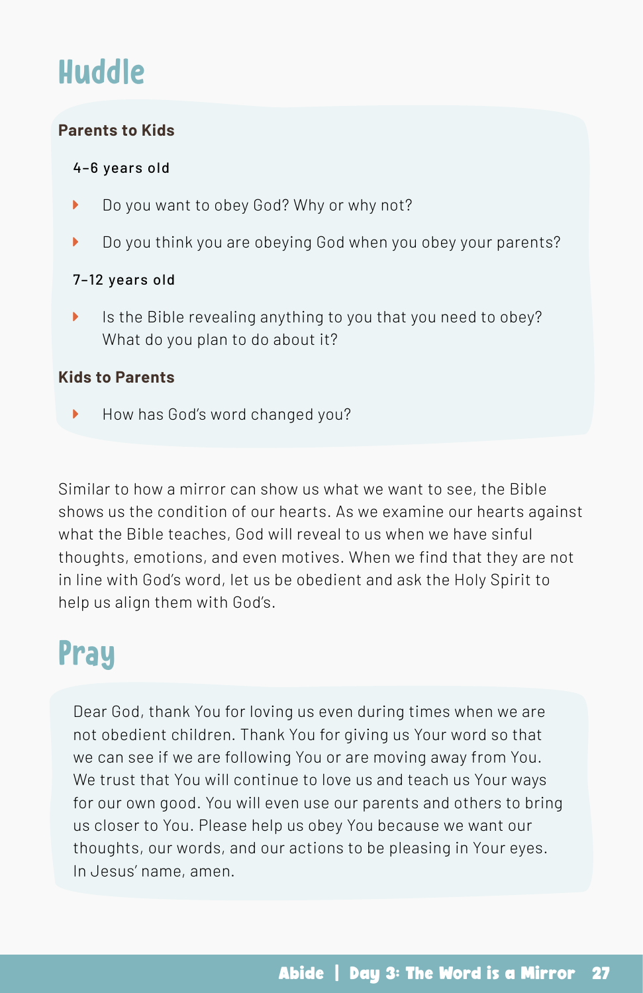# Huddle

### **Parents to Kids**

### 4–6 years old

- ▶ Do you want to obey God? Why or why not?
- ▶ Do you think you are obeying God when you obey your parents?

#### 7–12 years old

 $\blacktriangleright$  Is the Bible revealing anything to you that you need to obey? What do you plan to do about it?

### **Kids to Parents**

How has God's word changed you?

Similar to how a mirror can show us what we want to see, the Bible shows us the condition of our hearts. As we examine our hearts against what the Bible teaches, God will reveal to us when we have sinful thoughts, emotions, and even motives. When we find that they are not in line with God's word, let us be obedient and ask the Holy Spirit to help us align them with God's.

## Pray

Dear God, thank You for loving us even during times when we are not obedient children. Thank You for giving us Your word so that we can see if we are following You or are moving away from You. We trust that You will continue to love us and teach us Your ways for our own good. You will even use our parents and others to bring us closer to You. Please help us obey You because we want our thoughts, our words, and our actions to be pleasing in Your eyes. In Jesus' name, amen.